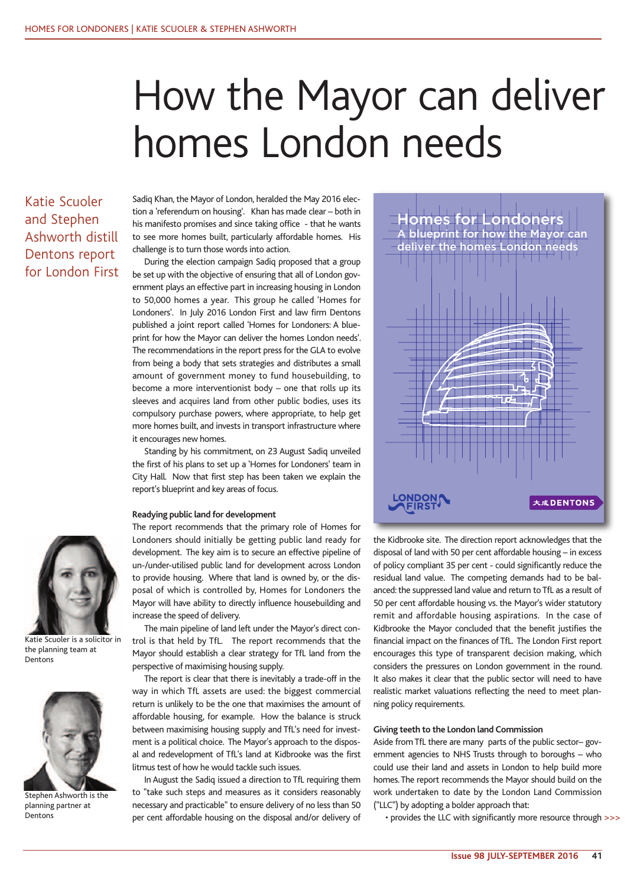# How the Mayor can deliver homes London needs

Katie Scuoler and Stephen Ashworth distill Dentons report for London First Sadiq Khan, the Mayor of London, heralded the May 2016 election a 'referendum on housing'. Khan has made clear – both in his manifesto promises and since taking office - that he wants to see more homes built, particularly affordable homes. His challenge is to turn those words into action.

During the election campaign Sadiq proposed that a group be set up with the objective of ensuring that all of London government plays an effective part in increasing housing in London to 50,000 homes a year. This group he called 'Homes for Londoners'. In July 2016 London First and law firm Dentons published a joint report called 'Homes for Londoners: A blueprint for how the Mayor can deliver the homes London needs'. The recommendations in the report press for the GLA to evolve from being a body that sets strategies and distributes a small amount of government money to fund housebuilding, to become a more interventionist body – one that rolls up its sleeves and acquires land from other public bodies, uses its compulsory purchase powers, where appropriate, to help get more homes built, and invests in transport infrastructure where it encourages new homes.

Standing by his commitment, on 23 August Sadiq unveiled the first of his plans to set up a 'Homes for Londoners' team in City Hall. Now that first step has been taken we explain the report's blueprint and key areas of focus.

# **Readying public land for development**

Katie Scuoler is a solicitor in the planning team at Dentons



Stephen Ashworth is the planning partner at Dentons

The report recommends that the primary role of Homes for Londoners should initially be getting public land ready for development. The key aim is to secure an effective pipeline of un-/under-utilised public land for development across London to provide housing. Where that land is owned by, or the disposal of which is controlled by, Homes for Londoners the Mayor will have ability to directly influence housebuilding and increase the speed of delivery.

The main pipeline of land left under the Mayor's direct control is that held by TfL. The report recommends that the Mayor should establish a clear strategy for TfL land from the perspective of maximising housing supply.

The report is clear that there is inevitably a trade-off in the way in which TfL assets are used: the biggest commercial return is unlikely to be the one that maximises the amount of affordable housing, for example. How the balance is struck between maximising housing supply and TfL's need for investment is a political choice. The Mayor's approach to the disposal and redevelopment of TfL's land at Kidbrooke was the first litmus test of how he would tackle such issues.

In August the Sadiq issued a direction to TfL requiring them to "take such steps and measures as it considers reasonably necessary and practicable" to ensure delivery of no less than 50 per cent affordable housing on the disposal and/or delivery of



the Kidbrooke site. The direction report acknowledges that the disposal of land with 50 per cent affordable housing – in excess of policy compliant 35 per cent - could significantly reduce the residual land value. The competing demands had to be balanced: the suppressed land value and return to TfL as a result of 50 per cent affordable housing vs. the Mayor's wider statutory remit and affordable housing aspirations. In the case of Kidbrooke the Mayor concluded that the benefit justifies the financial impact on the finances of TfL. The London First report encourages this type of transparent decision making, which considers the pressures on London government in the round. It also makes it clear that the public sector will need to have realistic market valuations reflecting the need to meet planning policy requirements.

# **Giving teeth to the London land Commission**

Aside from TfL there are many parts of the public sector– government agencies to NHS Trusts through to boroughs – who could use their land and assets in London to help build more homes.The report recommends the Mayor should build on the work undertaken to date by the London Land Commission ("LLC") by adopting a bolder approach that:

• provides the LLC with significantly more resource through >>>